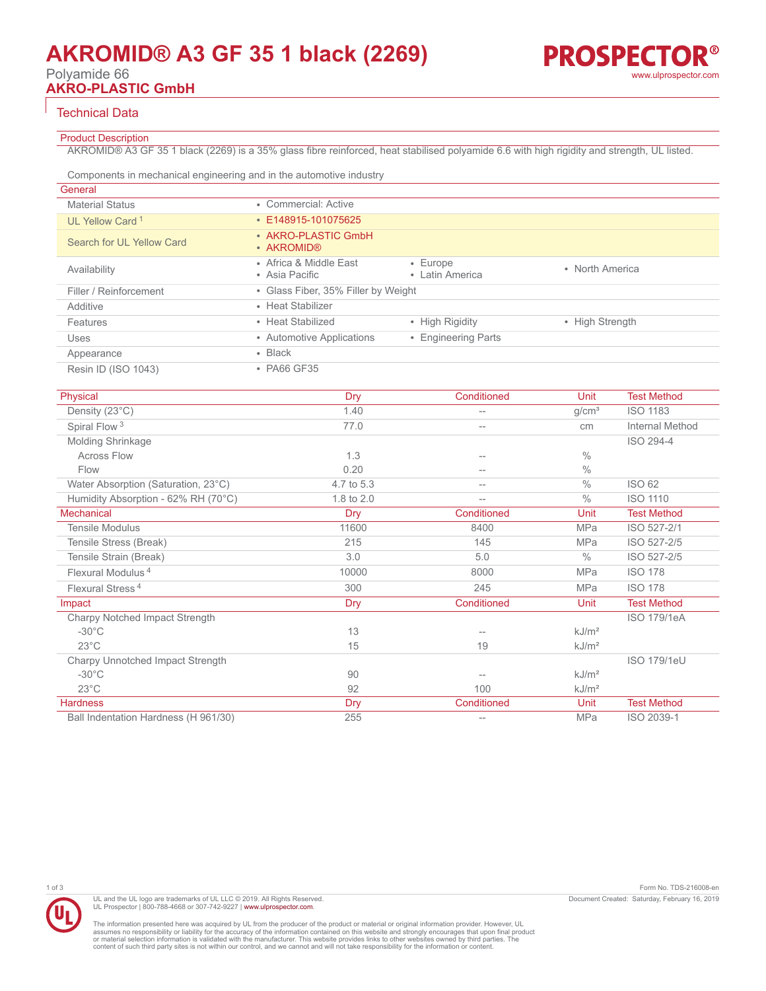# **AKROMID® A3 GF 35 1 black (2269)**

Polyamide 66

**AKRO-PLASTIC GmbH**

### Technical Data

### Product Description

AKROMID® A3 GF 35 1 black (2269) is a 35% glass fibre reinforced, heat stabilised polyamide 6.6 with high rigidity and strength, UL listed.

Components in mechanical engineering and in the automotive industry

| General                     |                                          |                                   |                 |
|-----------------------------|------------------------------------------|-----------------------------------|-----------------|
| <b>Material Status</b>      | • Commercial: Active                     |                                   |                 |
| UL Yellow Card <sup>1</sup> | $\cdot$ E148915-101075625                |                                   |                 |
| Search for UL Yellow Card   | • AKRO-PLASTIC GmbH<br>• AKROMID®        |                                   |                 |
| Availability                | • Africa & Middle East<br>• Asia Pacific | $\cdot$ Europe<br>• Latin America | • North America |
| Filler / Reinforcement      | • Glass Fiber, 35% Filler by Weight      |                                   |                 |
| Additive                    | • Heat Stabilizer                        |                                   |                 |
| Features                    | • Heat Stabilized                        | • High Rigidity                   | • High Strength |
| Uses                        | • Automotive Applications                | • Engineering Parts               |                 |
| Appearance                  | $\cdot$ Black                            |                                   |                 |
| Resin ID (ISO 1043)         | • PA66 GF35                              |                                   |                 |

| Physical                             | Dry        | Conditioned | Unit              | <b>Test Method</b> |
|--------------------------------------|------------|-------------|-------------------|--------------------|
| Density (23°C)                       | 1.40       |             | g/cm <sup>3</sup> | <b>ISO 1183</b>    |
| Spiral Flow <sup>3</sup>             | 77.0       |             | cm                | Internal Method    |
| Molding Shrinkage                    |            |             |                   | ISO 294-4          |
| <b>Across Flow</b>                   | 1.3        |             | $\frac{0}{0}$     |                    |
| Flow                                 | 0.20       | $--$        | $\frac{0}{0}$     |                    |
| Water Absorption (Saturation, 23°C)  | 4.7 to 5.3 | $- -$       | $\frac{0}{0}$     | <b>ISO 62</b>      |
| Humidity Absorption - 62% RH (70°C)  | 1.8 to 2.0 | $- -$       | $\frac{0}{0}$     | <b>ISO 1110</b>    |
| <b>Mechanical</b>                    | Dry        | Conditioned | Unit              | <b>Test Method</b> |
| <b>Tensile Modulus</b>               | 11600      | 8400        | <b>MPa</b>        | ISO 527-2/1        |
| Tensile Stress (Break)               | 215        | 145         | <b>MPa</b>        | ISO 527-2/5        |
| Tensile Strain (Break)               | 3.0        | 5.0         | $\frac{0}{0}$     | ISO 527-2/5        |
| Flexural Modulus <sup>4</sup>        | 10000      | 8000        | <b>MPa</b>        | <b>ISO 178</b>     |
| Flexural Stress <sup>4</sup>         | 300        | 245         | <b>MPa</b>        | <b>ISO 178</b>     |
| Impact                               | <b>Dry</b> | Conditioned | Unit              | <b>Test Method</b> |
| Charpy Notched Impact Strength       |            |             |                   | <b>ISO 179/1eA</b> |
| $-30^{\circ}$ C                      | 13         |             | kJ/m <sup>2</sup> |                    |
| $23^{\circ}$ C                       | 15         | 19          | kJ/m <sup>2</sup> |                    |
| Charpy Unnotched Impact Strength     |            |             |                   | <b>ISO 179/1eU</b> |
| $-30^{\circ}$ C                      | 90         |             | kJ/m <sup>2</sup> |                    |
| $23^{\circ}$ C                       | 92         | 100         | kJ/m <sup>2</sup> |                    |
| <b>Hardness</b>                      | Dry        | Conditioned | Unit              | <b>Test Method</b> |
| Ball Indentation Hardness (H 961/30) | 255        | $--$        | <b>MPa</b>        | ISO 2039-1         |



UL and the UL logo are trademarks of UL LLC © 2019. All Rights Reserved. UL Prospector | 800-788-4668 or 307-742-9227 | [www.ulprospector.com](http://www.ulprospector.com).

The information presented here was acquired by UL from the producer of the product or material or original information provider. However, UL<br>assumes no responsibility or liability for the accuracy of the information contai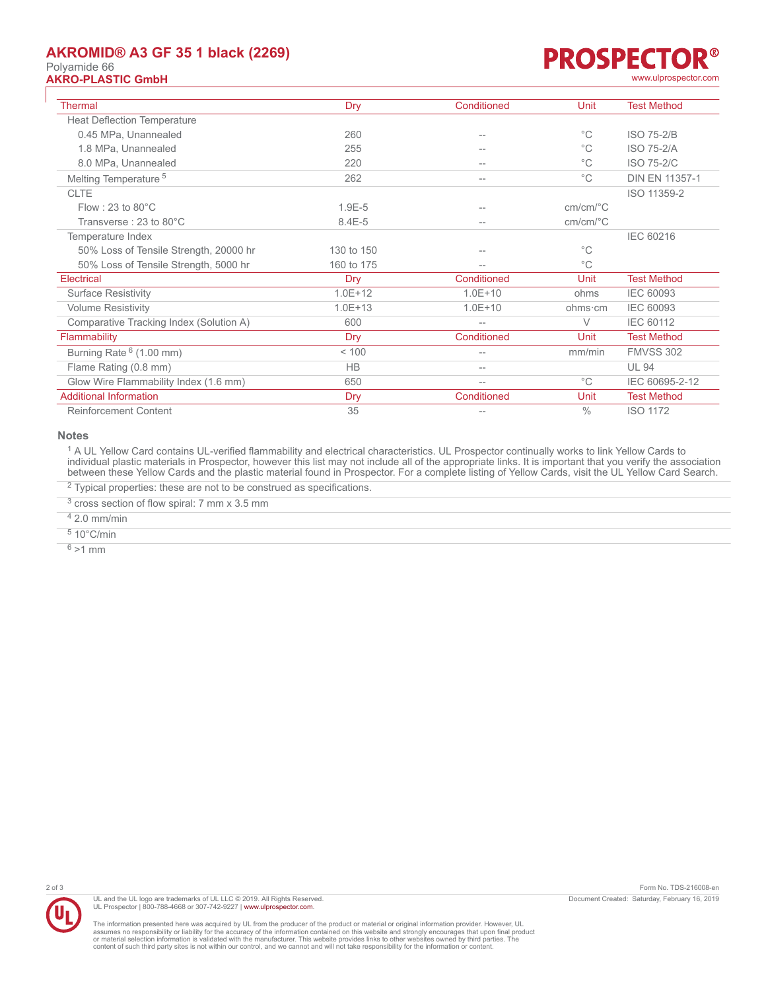## **AKROMID® A3 GF 35 1 black (2269)**

# Polyamide 66



| <b>Thermal</b>                          | Dry         | Conditioned | Unit                                      | <b>Test Method</b>    |
|-----------------------------------------|-------------|-------------|-------------------------------------------|-----------------------|
| <b>Heat Deflection Temperature</b>      |             |             |                                           |                       |
| 0.45 MPa, Unannealed                    | 260         |             | $^{\circ}$ C                              | <b>ISO 75-2/B</b>     |
| 1.8 MPa, Unannealed                     | 255         |             | $^{\circ}$ C                              | <b>ISO 75-2/A</b>     |
| 8.0 MPa, Unannealed                     | 220         | --          | $^{\circ}$ C                              | <b>ISO 75-2/C</b>     |
| Melting Temperature <sup>5</sup>        | 262         | $-$         | $^{\circ}$ C                              | <b>DIN EN 11357-1</b> |
| <b>CLTE</b>                             |             |             |                                           | ISO 11359-2           |
| Flow: 23 to $80^{\circ}$ C              | $1.9E - 5$  | $-$         | $cm/cm$ <sup>o</sup> $C$                  |                       |
| Transverse: 23 to 80°C                  | $8.4E - 5$  |             | $cm/cm$ <sup><math>\degree</math></sup> C |                       |
| Temperature Index                       |             |             |                                           | IEC 60216             |
| 50% Loss of Tensile Strength, 20000 hr  | 130 to 150  |             | $^{\circ}$ C                              |                       |
| 50% Loss of Tensile Strength, 5000 hr   | 160 to 175  |             | $^{\circ}$ C                              |                       |
| Electrical                              | Dry         | Conditioned | Unit                                      | <b>Test Method</b>    |
| <b>Surface Resistivity</b>              | $1.0E + 12$ | $1.0E + 10$ | ohms                                      | <b>IEC 60093</b>      |
| <b>Volume Resistivity</b>               | $1.0E + 13$ | $1.0E + 10$ | ohms∙cm                                   | <b>IEC 60093</b>      |
| Comparative Tracking Index (Solution A) | 600         | $--$        | $\vee$                                    | <b>IEC 60112</b>      |
| Flammability                            | Dry         | Conditioned | Unit                                      | <b>Test Method</b>    |
| Burning Rate $6(1.00 \text{ mm})$       | < 100       | --          | mm/min                                    | <b>FMVSS 302</b>      |
| Flame Rating (0.8 mm)                   | <b>HB</b>   | --          |                                           | <b>UL 94</b>          |
| Glow Wire Flammability Index (1.6 mm)   | 650         | $-$         | $^{\circ}$ C                              | IEC 60695-2-12        |
| <b>Additional Information</b>           | Dry         | Conditioned | Unit                                      | <b>Test Method</b>    |
| <b>Reinforcement Content</b>            | 35          | $-$         | $\frac{0}{0}$                             | <b>ISO 1172</b>       |

#### **Notes**

<sup>1</sup> A UL Yellow Card contains UL-verified flammability and electrical characteristics. UL Prospector continually works to link Yellow Cards to individual plastic materials in Prospector, however this list may not include all of the appropriate links. It is important that you verify the association between these Yellow Cards and the plastic material found in Prospector. For a complete listing of Yellow Cards, visit the UL Yellow Card Search.

 $2$  Typical properties: these are not to be construed as specifications.

<sup>3</sup> cross section of flow spiral: 7 mm x 3.5 mm

4 2.0 mm/min

5 10°C/min

 $6 > 1$  mm



UL and the UL logo are trademarks of UL LLC © 2019. All Rights Reserved. UL Prospector | 800-788-4668 or 307-742-9227 | [www.ulprospector.com](http://www.ulprospector.com).

The information presented here was acquired by UL from the producer of the product or material or original information provider. However, UL<br>assumes no responsibility or liability for the accuracy of the information contai